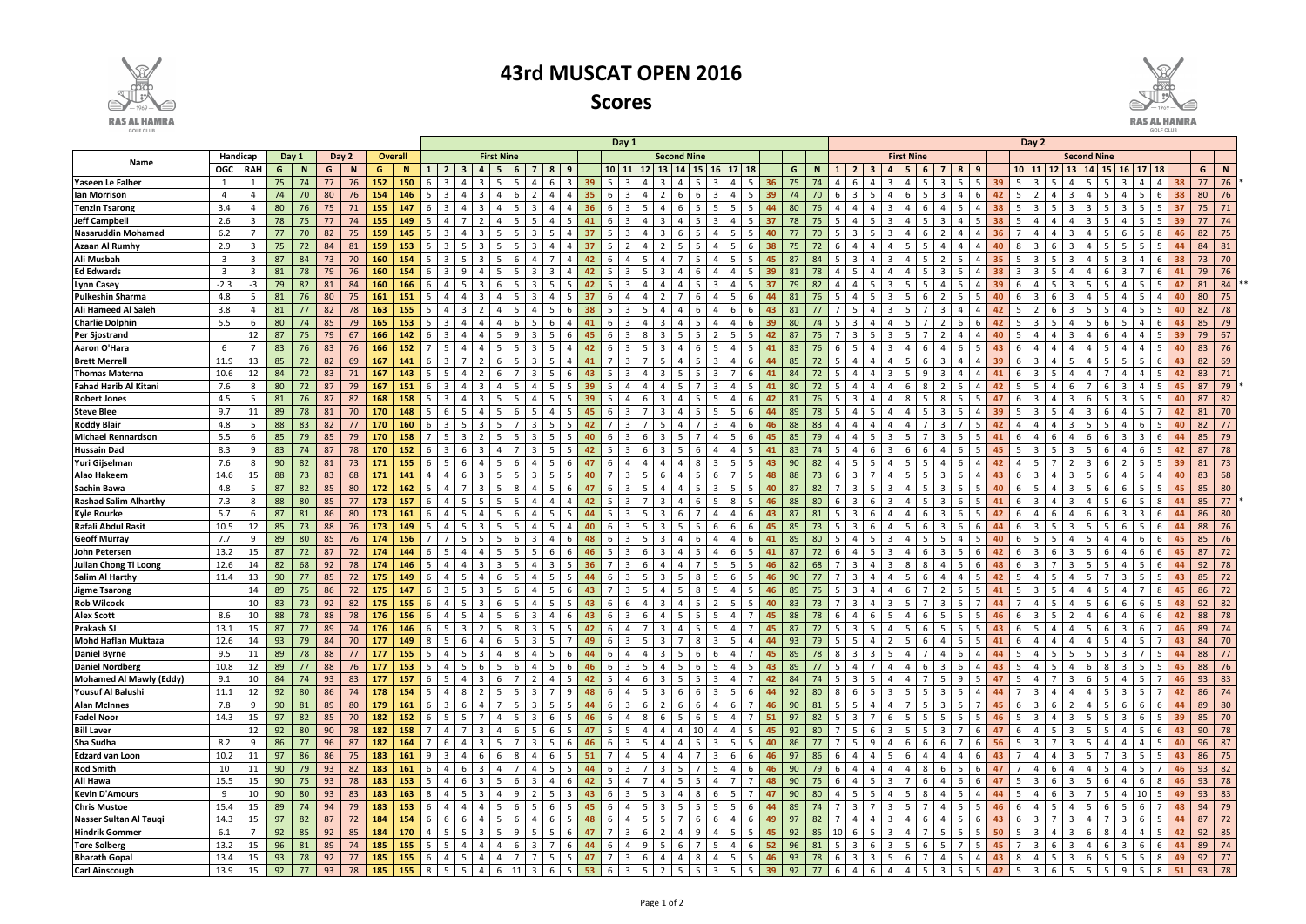|                              |                                              |                |    |             |     |          |     |                                         |                          | Day 1               |                       |                           |                |                               |                   |                |                         |                                                 |                |                                                  |                 | Day 2          |    |                                                                                                                                                |                   |                 |                        |                         |                |                                               |                |                |                    |                                           |             |                                  |                       |                                    |                         |                                   |                    |    |              |
|------------------------------|----------------------------------------------|----------------|----|-------------|-----|----------|-----|-----------------------------------------|--------------------------|---------------------|-----------------------|---------------------------|----------------|-------------------------------|-------------------|----------------|-------------------------|-------------------------------------------------|----------------|--------------------------------------------------|-----------------|----------------|----|------------------------------------------------------------------------------------------------------------------------------------------------|-------------------|-----------------|------------------------|-------------------------|----------------|-----------------------------------------------|----------------|----------------|--------------------|-------------------------------------------|-------------|----------------------------------|-----------------------|------------------------------------|-------------------------|-----------------------------------|--------------------|----|--------------|
|                              | Handicap<br>Day 1<br>Day 2<br><b>Overall</b> |                |    |             |     |          |     | <b>First Nine</b><br><b>Second Nine</b> |                          |                     |                       |                           |                |                               |                   |                |                         |                                                 |                |                                                  |                 |                |    |                                                                                                                                                | <b>First Nine</b> |                 |                        |                         |                | <b>Second Nine</b>                            |                |                |                    |                                           |             |                                  |                       |                                    |                         |                                   |                    |    |              |
| Name                         | OGC                                          | RAH            | G  | <b>N</b>    | G   | <b>N</b> | G   |                                         |                          |                     |                       |                           |                | 8<br>9                        |                   | $10$   11      | 12                      | <b>13</b>                                       |                |                                                  | 17 <sup>2</sup> |                |    | G                                                                                                                                              | $\mathbf N$       |                 |                        |                         |                |                                               | 8              | -9             |                    | 10 11                                     |             | 13                               | 14                    |                                    | 16 <sup>1</sup>         | $17$                              |                    | G  | N            |
| Yaseen Le Falher             | 1                                            |                | 75 | 74          | 77  | 76       | 152 | 150                                     |                          |                     |                       |                           |                | 6                             | 39                |                |                         |                                                 |                |                                                  |                 |                |    | 75                                                                                                                                             |                   |                 |                        |                         |                |                                               | 5              |                |                    |                                           |             |                                  |                       |                                    |                         |                                   |                    | 77 | 76           |
| lan Morrison                 | $\overline{4}$                               | $\overline{4}$ | 74 | 70          | 80  | 76       | 154 | 146                                     |                          |                     | 3                     |                           |                | Δ                             | 35                |                |                         |                                                 |                |                                                  |                 | -5             | 39 | 74                                                                                                                                             | 70                |                 |                        |                         | -6             |                                               | $\Delta$       |                |                    |                                           |             |                                  |                       |                                    |                         | -5<br>-6                          | 38                 | 80 | 76           |
| <b>Tenzin Tsarong</b>        | 3.4                                          | 4              | 80 | 76          | 75  | 71       | 155 | 147                                     |                          |                     |                       |                           |                |                               | 36                |                |                         |                                                 |                |                                                  |                 | -5             |    | 80                                                                                                                                             |                   |                 |                        |                         |                |                                               | 5              |                |                    |                                           |             |                                  |                       |                                    |                         |                                   | -37                | 75 | 71           |
| <b>Jeff Campbell</b>         | 2.6                                          | -3             | 78 | 75          | 77  | 74       | 155 | 149                                     |                          |                     |                       |                           |                | Δ                             | 41                |                |                         |                                                 |                |                                                  |                 |                |    | 78                                                                                                                                             | 75                |                 |                        |                         |                |                                               | $\Delta$       |                |                    |                                           |             |                                  |                       |                                    |                         |                                   | 39                 | 77 | 74           |
| <b>Nasaruddin Mohamad</b>    | 6.2                                          |                | 77 | 70          | 82  | 75       | 159 | 145                                     |                          |                     |                       |                           |                | 5                             |                   |                |                         |                                                 |                |                                                  |                 |                |    |                                                                                                                                                | 70                |                 |                        |                         |                |                                               | 4              |                |                    |                                           |             |                                  |                       |                                    |                         |                                   |                    | 82 | 75           |
| <b>Azaan Al Rumhy</b>        | 2.9                                          | - 3            | 75 | 72          | 84  | 81       | 159 | 153                                     |                          |                     |                       |                           |                | Δ                             |                   |                |                         |                                                 |                |                                                  |                 | $\mathbf{b}$   |    |                                                                                                                                                | 72                |                 |                        |                         |                |                                               | Δ              |                |                    |                                           |             |                                  |                       |                                    |                         |                                   |                    | 84 | 81           |
| Ali Musbah                   | $\overline{\mathbf{3}}$                      | -3             | 87 | 84          | 73  | 70       | 160 | 154                                     |                          |                     |                       |                           |                |                               |                   |                |                         |                                                 |                |                                                  |                 | -5             |    | 84                                                                                                                                             |                   |                 |                        |                         |                |                                               | 5              |                |                    |                                           |             |                                  |                       |                                    |                         |                                   |                    | 73 | 70           |
| <b>Ed Edwards</b>            | $\overline{3}$                               | -3             | 81 | 78          | 79  | 76       | 160 | 154                                     |                          |                     |                       |                           |                | २                             |                   |                |                         |                                                 |                |                                                  |                 |                |    |                                                                                                                                                |                   |                 |                        |                         |                |                                               | 5              |                |                    |                                           |             |                                  |                       |                                    |                         |                                   |                    | 79 | 76           |
| Lynn Casey                   | $-2.3$                                       | -3             | 79 | -82         | -81 | 84       | 160 | 166                                     | -6                       |                     |                       |                           |                | 5.                            | 42                |                |                         |                                                 |                |                                                  |                 |                |    | 79<br>82                                                                                                                                       |                   |                 |                        |                         |                |                                               | 5              |                |                    |                                           |             |                                  |                       |                                    |                         |                                   | 42                 | 81 | 84           |
| Pulkeshin Sharma             | 4.8                                          | -5             | 81 | 76          | 80  | 75       | 161 | 151                                     |                          |                     |                       |                           |                |                               |                   |                |                         |                                                 |                |                                                  |                 |                |    |                                                                                                                                                |                   |                 |                        |                         |                |                                               | .5             |                |                    |                                           |             |                                  |                       |                                    |                         |                                   | 40                 | 80 | 75           |
| Ali Hameed Al Saleh          | 3.8                                          | 4              | 81 | 77          | 82  | 78       | 163 | 155                                     | -5                       |                     |                       |                           |                |                               |                   |                |                         |                                                 |                |                                                  |                 |                |    |                                                                                                                                                |                   |                 |                        |                         |                |                                               |                |                |                    |                                           |             |                                  |                       |                                    |                         | .5<br>-5                          | 40                 | 82 | 78           |
| <b>Charlie Dolphin</b>       | 5.5                                          | -6             | 80 | 74          | 85  | 79       | 165 | 153                                     | -5                       |                     |                       |                           |                |                               |                   |                |                         |                                                 |                |                                                  |                 |                |    |                                                                                                                                                |                   |                 |                        |                         |                |                                               |                |                |                    |                                           |             |                                  |                       |                                    |                         |                                   | 43                 | 85 | 79           |
| <b>Per Sjostrand</b>         |                                              | 12             | 87 | 75          | 79  | 67       | 166 | 142                                     | -6                       |                     |                       |                           |                |                               |                   |                |                         |                                                 |                |                                                  |                 |                |    |                                                                                                                                                |                   |                 |                        |                         |                |                                               |                |                |                    |                                           |             |                                  |                       |                                    |                         |                                   | 39                 | 79 | 67           |
| Aaron O'Hara                 | 6                                            |                | 83 | 76          | 83  | 76       | 166 | 152                                     |                          |                     |                       |                           |                |                               |                   |                |                         |                                                 |                |                                                  |                 |                |    |                                                                                                                                                |                   |                 |                        |                         |                |                                               |                |                |                    |                                           |             |                                  |                       |                                    |                         |                                   |                    | 83 | 76           |
| <b>Brett Merrell</b>         | 11.9                                         | 13             | 85 | 72          | 82  | 69       | 167 | 141                                     |                          |                     |                       |                           |                |                               |                   |                |                         |                                                 |                |                                                  |                 |                |    |                                                                                                                                                |                   |                 |                        |                         |                |                                               |                |                |                    |                                           |             |                                  |                       |                                    |                         |                                   |                    | 82 | 69           |
| <b>Thomas Materna</b>        | 10.6                                         | 12             | 84 | 72          | 83  | 71       | 167 | 143                                     |                          |                     |                       |                           |                |                               |                   |                |                         |                                                 |                |                                                  |                 |                |    |                                                                                                                                                |                   |                 |                        |                         |                |                                               |                |                |                    |                                           |             |                                  |                       |                                    |                         |                                   |                    | 83 | 71           |
| Fahad Harib Al Kitani        | 7.6                                          | 8              | 80 | 72          | 87  | 79       | 167 | 151                                     |                          |                     |                       |                           |                |                               | 39                |                |                         |                                                 |                |                                                  |                 |                |    | 80                                                                                                                                             |                   |                 |                        |                         |                |                                               |                |                |                    |                                           |             |                                  |                       |                                    |                         |                                   |                    | 87 | 79           |
| <b>Robert Jones</b>          | 4.5                                          | - 5            | 81 | 76          | 87  | 82       | 168 | 158                                     |                          |                     |                       |                           |                |                               | 39                |                |                         |                                                 |                |                                                  |                 |                |    | -81                                                                                                                                            |                   |                 |                        |                         |                |                                               |                |                |                    |                                           |             |                                  |                       |                                    |                         | -5                                | 40                 | 87 | 82           |
| <b>Steve Blee</b>            | 9.7                                          | 11             | 89 | 78          | 81  | 70       | 170 | 148                                     |                          |                     |                       |                           |                | Δ                             | 45                |                |                         |                                                 |                |                                                  |                 | 6              |    | 89                                                                                                                                             | 78                |                 |                        |                         |                |                                               |                |                |                    |                                           |             |                                  |                       |                                    |                         |                                   |                    | 81 | 70           |
| <b>Roddy Blair</b>           | 4.8                                          | -5             | 88 | 83          | 82  | 77       | 170 | 160                                     | -6                       |                     |                       |                           |                | 5.                            | 42                |                |                         |                                                 |                |                                                  |                 | $\mathbf{b}$   |    | 88<br>-83                                                                                                                                      |                   |                 |                        |                         |                |                                               |                |                |                    |                                           |             |                                  |                       |                                    |                         | 6                                 |                    | 82 | 77           |
| <b>Michael Rennardson</b>    | 5.5                                          | - 6            | 85 | 79          | 85  | 79       | 170 | 158                                     |                          |                     |                       |                           |                | 5.                            |                   |                |                         |                                                 |                |                                                  |                 | 6              |    | 85                                                                                                                                             | 79                |                 |                        |                         |                |                                               | 5.             |                |                    |                                           |             |                                  |                       |                                    |                         | -6                                |                    | 85 | 79           |
| <b>Hussain Dad</b>           | 8.3                                          | - 9            | 83 | 74          | 87  | 78       | 170 | 152                                     | -6                       |                     |                       |                           |                | 5.                            | 42                |                |                         |                                                 |                |                                                  |                 |                |    | 83                                                                                                                                             |                   |                 |                        |                         | $\mathbf{b}$   |                                               | 6              |                |                    |                                           |             |                                  |                       |                                    |                         | 6                                 |                    | 87 | 78           |
| Yuri Gijselman               | 7.6                                          | - 8            | 90 | 82          | 81  | 73       | 171 | 155                                     | -6                       |                     |                       |                           |                | 5.                            |                   |                |                         |                                                 |                |                                                  |                 |                | 43 | 90<br>82                                                                                                                                       |                   |                 |                        |                         |                |                                               | 6              |                |                    |                                           |             |                                  |                       |                                    |                         | 5                                 | 39                 | 81 | 73           |
| <b>Alao Hakeem</b>           | 14.6                                         | 15             | 88 | 73          | 83  | 68       | 171 | 141                                     |                          |                     |                       |                           |                | 5                             | 40                |                |                         |                                                 |                |                                                  |                 |                | 48 | 88<br>-73                                                                                                                                      |                   |                 |                        |                         |                |                                               | 6              |                | 43                 |                                           |             |                                  |                       |                                    |                         | .5.                               | 40                 | 83 | 68           |
| <b>Sachin Bawa</b>           | 4.8                                          | -5             | 87 | 82          | 85  | 80       | 172 | 162                                     | - 5                      |                     | 3                     |                           |                | 5.<br>-6                      | 47                |                |                         |                                                 |                |                                                  |                 | -5             | 40 | 87                                                                                                                                             | 82                |                 |                        |                         |                |                                               | 5.             | -5             | 40                 |                                           |             |                                  |                       |                                    | 6                       | .5.<br>-5                         | 45                 | 85 | 80           |
| <b>Rashad Salim Alharthy</b> | 7.3                                          | 8              | 88 | 80          | 85  | 77       | 173 | 157                                     | - 6                      |                     | 5                     |                           |                | Δ                             | 42                |                |                         |                                                 |                |                                                  |                 | -5             |    | 88                                                                                                                                             | 80                |                 |                        |                         |                |                                               | 6              |                |                    |                                           |             |                                  |                       |                                    | 6                       | -8<br>.5                          |                    | 85 | 77           |
| <b>Kyle Rourke</b>           | 5.7                                          | -6             | 87 | 81          | 86  | -80      | 173 | 161                                     | - 6                      |                     |                       |                           |                |                               |                   |                |                         |                                                 |                |                                                  |                 |                |    |                                                                                                                                                | 81                |                 |                        |                         |                |                                               | 6              |                |                    |                                           |             |                                  |                       |                                    |                         |                                   |                    | 86 | 80           |
| Rafali Abdul Rasit           | 10.5                                         | 12             | 85 | 73          | 88  | 76       | 173 | 149                                     | - 5                      |                     |                       |                           |                |                               |                   |                |                         |                                                 |                |                                                  | -6              | $\mathbf{b}$   |    | 85<br>-73                                                                                                                                      |                   |                 |                        |                         |                |                                               | 6              |                |                    |                                           |             |                                  |                       |                                    | 6                       | $\mathfrak b$                     |                    | 88 | 76           |
| <b>Geoff Murray</b>          | 7.7                                          | -9             | 89 | 80          | 85  | 76       | 174 | 156                                     |                          |                     |                       |                           |                |                               |                   |                |                         |                                                 |                |                                                  |                 |                |    |                                                                                                                                                |                   |                 |                        |                         |                |                                               |                |                |                    |                                           |             |                                  |                       |                                    |                         |                                   |                    | 85 | 76           |
| <b>John Petersen</b>         | 13.2                                         | 15             | 87 | 72          | 87  | 72       | 174 | 144                                     |                          |                     |                       |                           |                |                               |                   |                |                         |                                                 |                |                                                  |                 |                |    |                                                                                                                                                |                   |                 |                        |                         |                |                                               |                |                |                    |                                           |             |                                  |                       |                                    |                         |                                   |                    |    | 72           |
| Julian Chong Ti Loong        | 12.6                                         | 14             | 82 | 68          | 92  | 78       | 174 | 146                                     |                          |                     |                       |                           |                |                               |                   |                |                         |                                                 |                |                                                  |                 |                |    |                                                                                                                                                |                   |                 |                        |                         |                |                                               |                |                |                    |                                           |             |                                  |                       |                                    |                         |                                   |                    | 92 | 78           |
| <b>Salim Al Harthy</b>       | 11.4                                         | 13             | 90 | 77          | 85  | 72       | 175 | 149                                     |                          |                     |                       |                           |                |                               |                   |                |                         |                                                 |                |                                                  | -6              |                |    | 90                                                                                                                                             |                   |                 |                        |                         |                |                                               | Δ              |                |                    |                                           |             |                                  |                       |                                    |                         |                                   |                    | 85 | 72           |
| <b>Jigme Tsarong</b>         |                                              | 14             | 89 | 75          | 86  | 72       | 175 | 147                                     |                          |                     | 3                     |                           |                | 5.<br>-6                      | 43                |                |                         |                                                 |                |                                                  |                 | -5             | 46 | 89                                                                                                                                             |                   |                 |                        |                         | -6             |                                               | 5.             |                |                    |                                           |             |                                  |                       |                                    |                         | -8                                | 45                 | 86 | 72           |
| <b>Rob Wilcock</b>           |                                              | 10             | 83 | 73          | 92  | 82       | 175 | 155                                     | -6                       |                     | 3                     |                           |                | 5.                            | 43                |                |                         |                                                 |                |                                                  | .5              | - 5            |    | 83                                                                                                                                             |                   |                 |                        |                         | -5             |                                               |                |                |                    |                                           |             |                                  |                       |                                    | 6                       | -5<br>6                           | 48                 | 92 | 82           |
| <b>Alex Scott</b>            | 8.6                                          | 10             | 88 | 78          | 88  | 78       | 176 | 156                                     | - 6                      | 5<br>4              | $\overline{4}$<br>- 5 | 61                        | $\overline{3}$ | $\overline{4}$<br>-6          | 43                | -6             | $\overline{3}$          | 6<br>$\overline{a}$                             | -5             | - 5<br>5                                         | 4               |                | 45 | 88                                                                                                                                             | 78<br>-6          |                 | 6                      | 5                       | $\overline{4}$ | 6<br>- 5                                      | 5              | - 5            | 46                 |                                           | 5.          |                                  | 4                     |                                    | $\overline{a}$          | 6<br>6                            | 42                 | 88 | 78           |
| Prakash SJ                   | 13.1                                         |                |    | 15 87 72 89 |     |          |     |                                         |                          |                     |                       |                           |                |                               |                   |                |                         |                                                 |                |                                                  |                 |                |    | 74   176   146   6   5   3   2   5   8   3   5   5   42   6   4   7   3   4   5   5   4   7   45   87   72   5   3   5   4   5   6   5   5   5 |                   |                 |                        |                         |                |                                               |                |                |                    | 43 6 5 4 4 5 6 3 6 7 46 89 74             |             |                                  |                       |                                    |                         |                                   |                    |    |              |
| Mohd Haflan Muktaza          | 12.6                                         | 14             | 93 | 79          | 84  | 70       | 177 | 149                                     | $8 \mid 5 \mid 6$        |                     | $4 \t6 \t5 \t3$       |                           |                | 5 <sub>1</sub><br>$7^{\circ}$ | 49                |                | $6 \mid 3 \mid 5$       | $\overline{3}$                                  |                | 78<br>$\vert$ 3                                  | $5 \mid$        | $4 \mid 44$    |    | 93                                                                                                                                             | 79                |                 |                        |                         |                | $5 \mid 5 \mid 4 \mid 2 \mid 5 \mid 6 \mid 4$ | 5 <sup>1</sup> | $5^{\circ}$    | 41                 | $6 \quad 4 \quad 4$                       |             | $\overline{4}$                   |                       | 4 5                                | 4 I                     | 5 <sub>1</sub>                    | $7 \vert 43 \vert$ | 84 | 70           |
| <b>Daniel Byrne</b>          | 9.5                                          | 11             | 89 | 78          | 88  | 77       | 177 | 155                                     | 54                       | 5                   | $\overline{3}$        | 8 <sup>1</sup><br>4       | 4              | 5 <sub>1</sub><br>- 6         | 44                | 6              | $\overline{4}$<br>I 4 I | $\overline{\mathbf{3}}$                         | 5 <sup>5</sup> | 6<br>6                                           | $\overline{4}$  | $7 \vert 45$   |    | 89                                                                                                                                             | 78                | $8 \mid 3 \mid$ | 3 <sup>1</sup>         | 5                       | 4              | 7   4                                         | 6              | 4              | 44                 | $5 \mid 4 \mid 5$                         |             | 5                                | 5 <sup>5</sup>        | 5                                  | 3 <sup>1</sup>          | 5 <sub>1</sub><br>$7\overline{ }$ | 44                 | 88 | 77           |
| <b>Daniel Nordberg</b>       | 10.8                                         | 12             | 89 | 77          | 88  | 76       | 177 | 153                                     | $5 \mid 4 \mid$          | $5 \mid 6$          |                       | 5<br>- 6 I                | 4              | 5 <sub>1</sub><br>- 6         | 46                | 6              | $3 \mid 5$              | $\overline{4}$                                  | - 5            | 5<br>6                                           | $\overline{4}$  | $5 \mid 43$    |    | 89<br>77                                                                                                                                       |                   | 5               | $7^{\circ}$            | $\overline{4}$          | $\overline{4}$ | 6 3                                           | 6              | 4              | 43                 | 5<br>4                                    | 5           | $\overline{4}$                   | -6                    | 8                                  | 3 <sup>1</sup>          | 5 <sup>5</sup>                    | $5 \mid 45$        | 88 | 76           |
| Mohamed Al Mawly (Eddy)      | 9.1                                          | 10             | 84 | 74          | 93  | 83       | 177 | 157                                     | 6 5 1                    | 4 3                 | - 6                   | - 7 I                     | 2              | 4<br>- 5                      | 42                | - 5            | 4                       | 6<br>3                                          | -5             | 3                                                | $\overline{4}$  | $\overline{7}$ | 42 | 84                                                                                                                                             | 74<br>- 5         | 3               | 5                      | $\overline{4}$          | 4              | 7   5                                         | 9              | -5             | 47                 | - 5                                       |             | 3                                |                       |                                    | 4                       | 5 <sup>5</sup><br>7 <sup>1</sup>  | 46                 | 93 | 83           |
| <b>Yousuf Al Balushi</b>     | 11.1                                         | 12             | 92 | 80          | 86  | 74       | 178 | 154                                     | $5 \mid 4 \mid 8 \mid 2$ |                     | - 5                   |                           | 5 3 1          | $7^{\circ}$<br>-9             | 48                | - 6            | 5 <sup>5</sup><br>4     | $\overline{3}$                                  | -6             | 3                                                | 5               | - 6            | 44 | 92                                                                                                                                             | 80<br>8           | -6 I            | - 5 I                  | $\overline{\mathbf{3}}$ | 5              | 53                                            | 5 <sup>5</sup> | $\overline{4}$ | 44                 | $\overline{7}$<br>- 3                     | 4           | $\overline{a}$                   | $\boldsymbol{\Delta}$ |                                    | -3 I                    | 5<br>$\overline{7}$               | 42                 | 86 | 74           |
| <b>Alan McInnes</b>          | 7.8                                          | - 9            | 90 | 81          | 89  | 80       | 179 | 161                                     | 6<br>- 3 I               | 6                   | $\overline{4}$<br>7   | - 5 I                     | 3              | 5<br>-5                       | 44                | - 6            | 6<br>- 3                | 2                                               | -6             |                                                  | 6               |                | 46 | 90<br>81                                                                                                                                       | - 5               | 5               | $\overline{4}$         | 4                       |                | 5 3                                           | 5              |                | 45                 | -6<br>- 3                                 |             | $\mathcal{L}$                    |                       |                                    | 6                       | 6<br>6                            | 44                 | 89 | 80           |
| Fadel Noor                   | 14.3                                         | 15             | 97 | 82          | 85  | 70       | 182 | 152                                     | 6                        | 5   7<br>- 5 I      | -4                    | -51                       | $\overline{3}$ | 6<br>-5                       | 46                | -6             | 8                       | 6                                               | -5             | 5<br>6                                           | 4               |                | 51 | 97                                                                                                                                             | 82<br>- 5         | 3               | 7                      | 6                       | - 5            | - 5 I<br>- 5                                  | 5              |                | 46                 | - 5                                       | 4           |                                  |                       |                                    | 3                       | 6<br>- 5                          | 39                 | 85 | 70           |
| <b>Bill Laver</b>            |                                              | 12             | 92 | 80          | 90  | 78       | 182 | 158                                     |                          | - 7 I<br>4          | $\overline{3}$        | 4<br>-6 I                 | 5              | 6<br>-5                       | 47                | -5             | 4                       |                                                 | 4              | 4                                                | 4               | -5             | 45 | 92                                                                                                                                             | 80                |                 | 6                      | 3                       | - 5            | -51<br>-3                                     | 7              | -6             | 47                 | - 6                                       |             |                                  |                       |                                    | 4                       | -5<br>-6                          | 43                 | 90 | 78           |
| Sha Sudha                    | 8.2                                          | -9             | 86 | 77          | 96  | 87       | 182 | 164                                     |                          | $\overline{4}$<br>6 | 3<br>-5               |                           |                | 5.                            | 46                |                | 5.                      |                                                 |                | 3                                                | 5               | - 5            | 40 | 86                                                                                                                                             | 77                |                 | -9                     | 4                       | -6             | 6<br>6                                        | 7              | -6             | 56                 | - 5                                       |             |                                  |                       |                                    |                         | - 5<br>4                          | 40                 | 96 | 87           |
| <b>Edzard van Loon</b>       | 10.2                                         | 11             | 97 | 86          | 86  | 75       | 183 | 161                                     | -9<br>-3                 |                     | 6<br>-6               | -8                        |                | 6                             | 51                |                |                         |                                                 |                |                                                  | 6               | -6             |    | 97                                                                                                                                             | 86                |                 |                        | .5                      | -6             |                                               | 4              | -6             |                    |                                           |             |                                  |                       |                                    |                         | 5<br>- 5                          | 43                 | 86 | 75           |
| <b>Rod Smith</b>             | 10                                           | 11             | 90 | 79          | 93  | 82       | 183 | 161                                     | - 6                      | 6                   | 3                     |                           |                | 5.                            | 44                |                |                         |                                                 |                |                                                  |                 | 6              |    | 90                                                                                                                                             | 79                |                 |                        |                         |                |                                               |                |                |                    |                                           |             |                                  |                       |                                    |                         |                                   | 46                 | 93 | 82           |
| Ali Hawa                     | 15.5                                         | 15             | 90 | 75          | 93  | 78       | 183 | 153                                     | -5                       | 6                   | $\overline{3}$        | -5<br>-6                  | 3              | $\overline{4}$<br>-6          | 42                |                |                         |                                                 |                |                                                  |                 |                | 48 | 90                                                                                                                                             | 75                |                 |                        | 3                       |                | 6<br>4                                        | 6              | -6             | 47                 | - 5                                       |             |                                  |                       |                                    | 4                       | 6<br>8                            | 46                 | 93 | 78           |
| <b>Kevin D'Amours</b>        | 9                                            | 10             | 90 | 80          | 93  | 83       | 183 | 163                                     | -8                       | -5                  | $\overline{3}$        | -9<br>4                   |                | 5<br>-3                       | 43                |                | 5.                      |                                                 |                | 6                                                | -5              | 7              | 47 | 90                                                                                                                                             | 80                |                 | 5                      | 4                       | -5             | -8<br>4                                       | 5              | 4              | 44                 | - 5                                       |             |                                  |                       |                                    | 4                       | 10<br>-5                          | 49                 | 93 | 83           |
| <b>Chris Mustoe</b>          | 15.4                                         | 15             | 89 | 74          | 94  | 79       | 183 | 153                                     | - 6                      | 4                   | $\overline{4}$<br>- 5 | -6                        | 5.             | 6<br>-5                       | 45                |                |                         | 5.<br>3                                         | -5             | 5                                                | 5               | -6             | 44 | 89                                                                                                                                             | 74                |                 |                        | 3                       | -5             | - 7<br>4                                      | 5 <sub>5</sub> | -5             | 46                 | - 6                                       | 5           | 4                                | -5                    |                                    | 5                       | 6<br>7                            | 48                 | 94 | 79           |
| Nasser Sultan Al Tauqi       | 14.3                                         | 15             | 97 | 82          | 87  | 72       | 184 | 154                                     | - 6                      | 6<br>6              | 4                     | -5<br>-6                  | 4              | 6<br>-5                       | 48                |                |                         | 5                                               |                | 6                                                | 4               | -6             | 49 | 97                                                                                                                                             | 82                |                 |                        | 3                       | -4             | 6<br>4                                        | 5              | -6             | 43                 | - 6                                       |             |                                  | -4                    |                                    | $\overline{3}$          | 6<br>-5                           | 44                 | 87 | 72           |
| <b>Hindrik Gommer</b>        | 6.1                                          | $\overline{7}$ | 92 | 85          | 92  | 85       | 184 | 170                                     | 4                        | - 5                 | $\overline{3}$<br>- 5 | -91                       | -5             | 5<br>-6                       | 47                |                |                         | 6                                               | 4              | 9<br>4                                           | 5               | - 5            | 45 | 92                                                                                                                                             | 85                | 6 I             | -5                     | 3                       | 4              |                                               | 5 <sub>5</sub> | -5             | 50                 | - 5                                       | 4           | 3                                | -6                    | 8                                  | $\overline{4}$          | 4<br>-5                           | 42                 | 92 | 85           |
| <b>Tore Solberg</b>          | 13.2                                         | 15             | 96 | 81          | 89  | 74       | 185 | 155                                     | - 5<br>5                 | $\overline{4}$      | $\overline{4}$        | 4                         | 3              | $7^{\circ}$<br>-6             | 44                | -6             | 9<br>-4                 | 5                                               |                | 5                                                | 4               | - 6            | 52 | 96                                                                                                                                             | 81<br>- 5         |                 | 6                      | 3                       | - 5            | - 5                                           | $7^{\circ}$    | - 5            | 45                 | 7                                         |             | 3                                | 4                     |                                    | $\overline{\mathbf{3}}$ | 6<br>6                            | 44                 | 89 | 74           |
| <b>Bharath Gopal</b>         | 13.4                                         |                | 93 | 78          | 92  | 77       | 185 | 155                                     | 6 4                      | 5 <sub>1</sub>      | $\overline{4}$        | 61<br>$\overline{4}$      | 7   7          | 5 <sub>5</sub><br>5           |                   | $\overline{7}$ |                         |                                                 | - 6            | $\overline{4}$                                   | 5 <sub>1</sub>  | $5 \mid 46$    |    | 93                                                                                                                                             | 78                | 3 I             | $6 \mid 3 \mid 3$      | 5 <sub>5</sub>          | 6              | 6<br>74                                       | 5              | $\overline{4}$ |                    |                                           | $5^{\circ}$ |                                  |                       |                                    | 5 <sub>1</sub>          | 5 <sup>5</sup>                    | 8 49               |    | $92 \mid 77$ |
| <b>Carl Ainscough</b>        | 13.9                                         | 15             |    | 15 92 77    | 93  | 78       |     |                                         | 185 155 8 5 5 4          |                     |                       | $6 \mid 11 \mid 3 \mid 6$ |                |                               | 47<br>$5 \mid 53$ |                | 3                       | 6<br>$\overline{4}$<br>$6 \mid 3 \mid 5 \mid 2$ |                | 4 8 1<br>$5 \mid 5 \mid 3 \mid 5 \mid 5 \mid 39$ |                 |                |    | $92$ 77                                                                                                                                        |                   |                 | $6 \mid 4 \mid 6 \mid$ |                         |                | $4 \mid 5 \mid 3$                             | 5 <sup>1</sup> |                | 43<br>$5 \quad 42$ | 8<br>$\vert 4 \vert$<br>$5 \mid 3 \mid 6$ |             | $\overline{3}$<br>5 <sub>1</sub> | 6                     | 5<br>$5 \mid 5 \mid 9 \mid 5 \mid$ |                         |                                   | $8 \mid 51$        |    | $93 \mid 78$ |
|                              |                                              |                |    |             |     |          |     |                                         |                          |                     |                       |                           |                |                               |                   |                |                         |                                                 |                |                                                  |                 |                |    |                                                                                                                                                |                   |                 |                        | $4 \overline{ }$        |                |                                               |                |                |                    |                                           |             |                                  |                       |                                    |                         |                                   |                    |    |              |



## **43rd MUSCAT OPEN 2016**

**Scores**